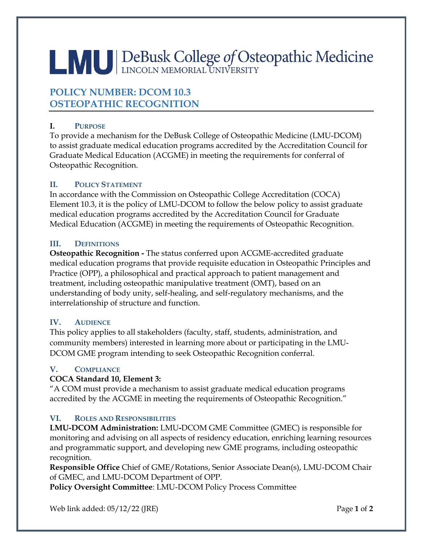# LAU DeBusk College of Osteopathic Medicine

# **POLICY NUMBER: DCOM 10.3 OSTEOPATHIC RECOGNITION**

# **I. PURPOSE**

To provide a mechanism for the DeBusk College of Osteopathic Medicine (LMU-DCOM) to assist graduate medical education programs accredited by the Accreditation Council for Graduate Medical Education (ACGME) in meeting the requirements for conferral of Osteopathic Recognition.

# **II. POLICY STATEMENT**

In accordance with the Commission on Osteopathic College Accreditation (COCA) Element 10.3, it is the policy of LMU-DCOM to follow the below policy to assist graduate medical education programs accredited by the Accreditation Council for Graduate Medical Education (ACGME) in meeting the requirements of Osteopathic Recognition.

## **III. DEFINITIONS**

**Osteopathic Recognition -** The status conferred upon ACGME-accredited graduate medical education programs that provide requisite education in Osteopathic Principles and Practice (OPP), a philosophical and practical approach to patient management and treatment, including osteopathic manipulative treatment (OMT), based on an understanding of body unity, self-healing, and self-regulatory mechanisms, and the interrelationship of structure and function.

# **IV. AUDIENCE**

This policy applies to all stakeholders (faculty, staff, students, administration, and community members) interested in learning more about or participating in the LMU-DCOM GME program intending to seek Osteopathic Recognition conferral.

## **V. COMPLIANCE**

## **COCA Standard 10, Element 3:**

"A COM must provide a mechanism to assist graduate medical education programs accredited by the ACGME in meeting the requirements of Osteopathic Recognition."

## **VI. ROLES AND RESPONSIBILITIES**

**LMU-DCOM Administration:** LMU**-**DCOM GME Committee (GMEC) is responsible for monitoring and advising on all aspects of residency education, enriching learning resources and programmatic support, and developing new GME programs, including osteopathic recognition.

**Responsible Office** Chief of GME/Rotations, Senior Associate Dean(s), LMU-DCOM Chair of GMEC, and LMU-DCOM Department of OPP.

**Policy Oversight Committee**: LMU-DCOM Policy Process Committee